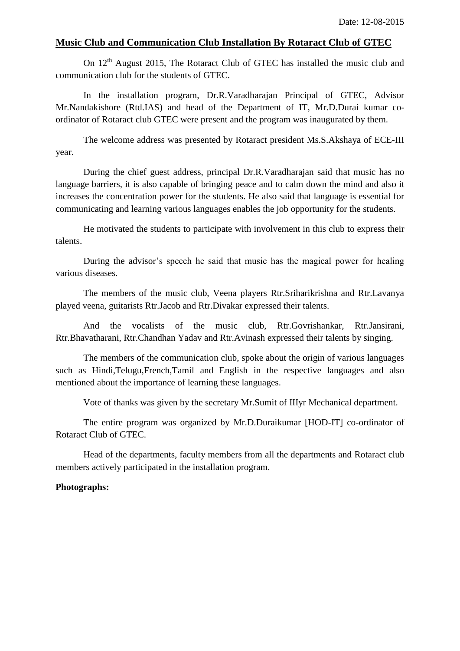## **Music Club and Communication Club Installation By Rotaract Club of GTEC**

On 12<sup>th</sup> August 2015, The Rotaract Club of GTEC has installed the music club and communication club for the students of GTEC.

In the installation program, Dr.R.Varadharajan Principal of GTEC, Advisor Mr.Nandakishore (Rtd.IAS) and head of the Department of IT, Mr.D.Durai kumar coordinator of Rotaract club GTEC were present and the program was inaugurated by them.

The welcome address was presented by Rotaract president Ms.S.Akshaya of ECE-III year.

During the chief guest address, principal Dr.R.Varadharajan said that music has no language barriers, it is also capable of bringing peace and to calm down the mind and also it increases the concentration power for the students. He also said that language is essential for communicating and learning various languages enables the job opportunity for the students.

He motivated the students to participate with involvement in this club to express their talents.

During the advisor's speech he said that music has the magical power for healing various diseases.

The members of the music club, Veena players Rtr.Sriharikrishna and Rtr.Lavanya played veena, guitarists Rtr.Jacob and Rtr.Divakar expressed their talents.

And the vocalists of the music club, Rtr.Govrishankar, Rtr.Jansirani, Rtr.Bhavatharani, Rtr.Chandhan Yadav and Rtr.Avinash expressed their talents by singing.

The members of the communication club, spoke about the origin of various languages such as Hindi,Telugu,French,Tamil and English in the respective languages and also mentioned about the importance of learning these languages.

Vote of thanks was given by the secretary Mr.Sumit of IIIyr Mechanical department.

The entire program was organized by Mr.D.Duraikumar [HOD-IT] co-ordinator of Rotaract Club of GTEC.

Head of the departments, faculty members from all the departments and Rotaract club members actively participated in the installation program.

## **Photographs:**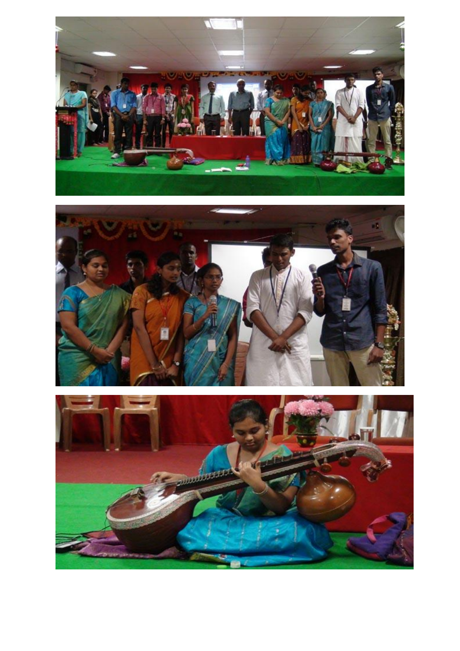